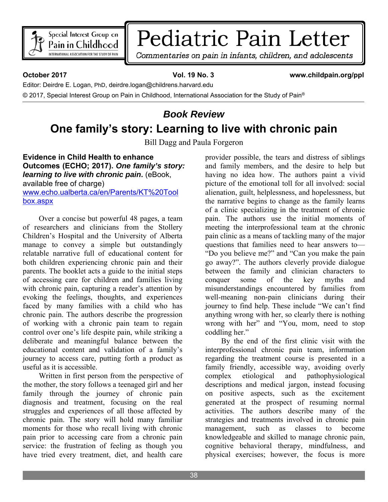

## Pediatric Pain Letter

Commentaries on pain in infants, children, and adolescents

**October 2017 Vol. 19 No. 3 www.childpain.org/ppl** 

Editor: Deirdre E. Logan, PhD, deirdre.logan@childrens.harvard.edu

© 2017, Special Interest Group on Pain in Childhood, International Association for the Study of Pain®

## *Book Review*  **One family's story: Learning to live with chronic pain**

Bill Dagg and Paula Forgeron

**Evidence in Child Health to enhance Outcomes (ECHO; 2017).** *One family's story: learning to live with chronic pain***.** (eBook, available free of charge) www.echo.ualberta.ca/en/Parents/KT%20Tool box.aspx

Over a concise but powerful 48 pages, a team of researchers and clinicians from the Stollery Children's Hospital and the University of Alberta manage to convey a simple but outstandingly relatable narrative full of educational content for both children experiencing chronic pain and their parents. The booklet acts a guide to the initial steps of accessing care for children and families living with chronic pain, capturing a reader's attention by evoking the feelings, thoughts, and experiences faced by many families with a child who has chronic pain. The authors describe the progression of working with a chronic pain team to regain control over one's life despite pain, while striking a deliberate and meaningful balance between the educational content and validation of a family's journey to access care, putting forth a product as useful as it is accessible.

Written in first person from the perspective of the mother, the story follows a teenaged girl and her family through the journey of chronic pain diagnosis and treatment, focusing on the real struggles and experiences of all those affected by chronic pain. The story will hold many familiar moments for those who recall living with chronic pain prior to accessing care from a chronic pain service: the frustration of feeling as though you have tried every treatment, diet, and health care

provider possible, the tears and distress of siblings and family members, and the desire to help but having no idea how. The authors paint a vivid picture of the emotional toll for all involved: social alienation, guilt, helplessness, and hopelessness, but the narrative begins to change as the family learns of a clinic specializing in the treatment of chronic pain. The authors use the initial moments of meeting the interprofessional team at the chronic pain clinic as a means of tackling many of the major questions that families need to hear answers to— "Do you believe me?" and "Can you make the pain go away?". The authors cleverly provide dialogue between the family and clinician characters to conquer some of the key myths and misunderstandings encountered by families from well-meaning non-pain clinicians during their journey to find help. These include "We can't find anything wrong with her, so clearly there is nothing wrong with her" and "You, mom, need to stop coddling her."

By the end of the first clinic visit with the interprofessional chronic pain team, information regarding the treatment course is presented in a family friendly, accessible way, avoiding overly complex etiological and pathophysiological descriptions and medical jargon, instead focusing on positive aspects, such as the excitement generated at the prospect of resuming normal activities. The authors describe many of the strategies and treatments involved in chronic pain management, such as classes to become knowledgeable and skilled to manage chronic pain, cognitive behavioral therapy, mindfulness, and physical exercises; however, the focus is more